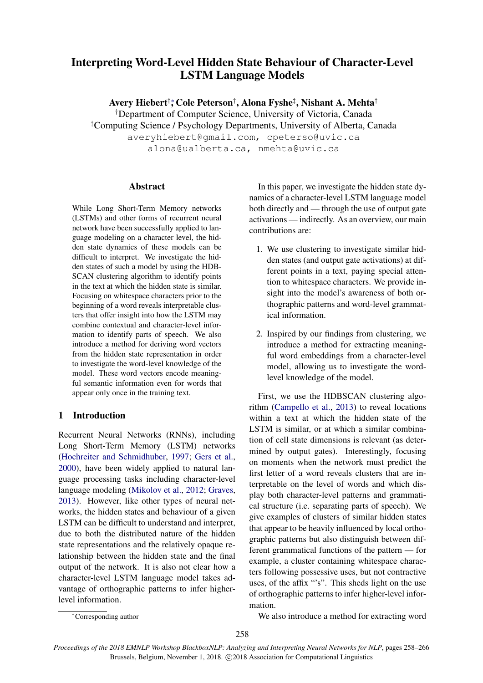# Interpreting Word-Level Hidden State Behaviour of Character-Level LSTM Language Models

Avery Hiebert†\*, Cole Peterson†, Alona Fyshe‡, Nishant A. Mehta†

†Department of Computer Science, University of Victoria, Canada ‡Computing Science / Psychology Departments, University of Alberta, Canada averyhiebert@gmail.com, cpeterso@uvic.ca alona@ualberta.ca, nmehta@uvic.ca

## **Abstract**

While Long Short-Term Memory networks (LSTMs) and other forms of recurrent neural network have been successfully applied to language modeling on a character level, the hidden state dynamics of these models can be difficult to interpret. We investigate the hidden states of such a model by using the HDB-SCAN clustering algorithm to identify points in the text at which the hidden state is similar. Focusing on whitespace characters prior to the beginning of a word reveals interpretable clusters that offer insight into how the LSTM may combine contextual and character-level information to identify parts of speech. We also introduce a method for deriving word vectors from the hidden state representation in order to investigate the word-level knowledge of the model. These word vectors encode meaningful semantic information even for words that appear only once in the training text.

# 1 Introduction

Recurrent Neural Networks (RNNs), including Long Short-Term Memory (LSTM) networks [\(Hochreiter and Schmidhuber,](#page-7-0) [1997;](#page-7-0) [Gers et al.,](#page-7-1) [2000\)](#page-7-1), have been widely applied to natural language processing tasks including character-level language modeling [\(Mikolov et al.,](#page-8-0) [2012;](#page-8-0) [Graves,](#page-7-2) [2013\)](#page-7-2). However, like other types of neural networks, the hidden states and behaviour of a given LSTM can be difficult to understand and interpret, due to both the distributed nature of the hidden state representations and the relatively opaque relationship between the hidden state and the final output of the network. It is also not clear how a character-level LSTM language model takes advantage of orthographic patterns to infer higherlevel information.

In this paper, we investigate the hidden state dynamics of a character-level LSTM language model both directly and — through the use of output gate activations — indirectly. As an overview, our main contributions are:

- 1. We use clustering to investigate similar hidden states (and output gate activations) at different points in a text, paying special attention to whitespace characters. We provide insight into the model's awareness of both orthographic patterns and word-level grammatical information.
- 2. Inspired by our findings from clustering, we introduce a method for extracting meaningful word embeddings from a character-level model, allowing us to investigate the wordlevel knowledge of the model.

First, we use the HDBSCAN clustering algorithm [\(Campello et al.,](#page-7-3) [2013\)](#page-7-3) to reveal locations within a text at which the hidden state of the LSTM is similar, or at which a similar combination of cell state dimensions is relevant (as determined by output gates). Interestingly, focusing on moments when the network must predict the first letter of a word reveals clusters that are interpretable on the level of words and which display both character-level patterns and grammatical structure (i.e. separating parts of speech). We give examples of clusters of similar hidden states that appear to be heavily influenced by local orthographic patterns but also distinguish between different grammatical functions of the pattern — for example, a cluster containing whitespace characters following possessive uses, but not contractive uses, of the affix "'s". This sheds light on the use of orthographic patterns to infer higher-level information.

We also introduce a method for extracting word

<sup>∗</sup>Corresponding author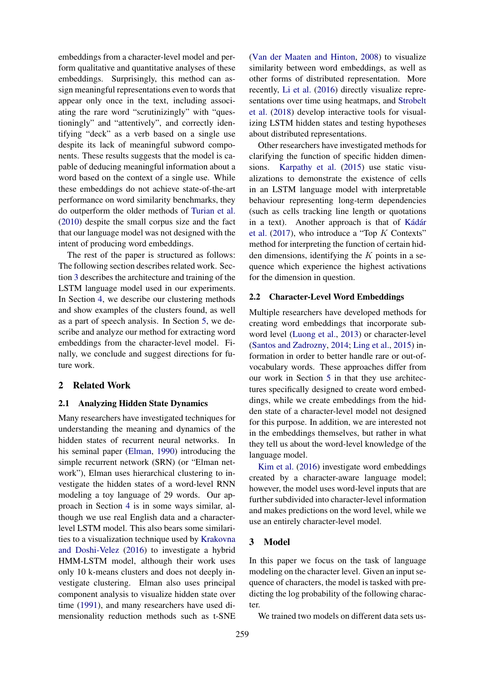embeddings from a character-level model and perform qualitative and quantitative analyses of these embeddings. Surprisingly, this method can assign meaningful representations even to words that appear only once in the text, including associating the rare word "scrutinizingly" with "questioningly" and "attentively", and correctly identifying "deck" as a verb based on a single use despite its lack of meaningful subword components. These results suggests that the model is capable of deducing meaningful information about a word based on the context of a single use. While these embeddings do not achieve state-of-the-art performance on word similarity benchmarks, they do outperform the older methods of [Turian et al.](#page-8-1) [\(2010\)](#page-8-1) despite the small corpus size and the fact that our language model was not designed with the intent of producing word embeddings.

The rest of the paper is structured as follows: The following section describes related work. Section [3](#page-1-0) describes the architecture and training of the LSTM language model used in our experiments. In Section [4,](#page-2-0) we describe our clustering methods and show examples of the clusters found, as well as a part of speech analysis. In Section [5,](#page-5-0) we describe and analyze our method for extracting word embeddings from the character-level model. Finally, we conclude and suggest directions for future work.

## 2 Related Work

#### 2.1 Analyzing Hidden State Dynamics

Many researchers have investigated techniques for understanding the meaning and dynamics of the hidden states of recurrent neural networks. In his seminal paper [\(Elman,](#page-7-4) [1990\)](#page-7-4) introducing the simple recurrent network (SRN) (or "Elman network"), Elman uses hierarchical clustering to investigate the hidden states of a word-level RNN modeling a toy language of 29 words. Our approach in Section [4](#page-2-0) is in some ways similar, although we use real English data and a characterlevel LSTM model. This also bears some similarities to a visualization technique used by [Krakovna](#page-7-5) [and Doshi-Velez](#page-7-5) [\(2016\)](#page-7-5) to investigate a hybrid HMM-LSTM model, although their work uses only 10 k-means clusters and does not deeply investigate clustering. Elman also uses principal component analysis to visualize hidden state over time [\(1991\)](#page-7-6), and many researchers have used dimensionality reduction methods such as t-SNE [\(Van der Maaten and Hinton,](#page-8-2) [2008\)](#page-8-2) to visualize similarity between word embeddings, as well as other forms of distributed representation. More recently, [Li et al.](#page-7-7) [\(2016\)](#page-7-7) directly visualize representations over time using heatmaps, and [Strobelt](#page-8-3) [et al.](#page-8-3) [\(2018\)](#page-8-3) develop interactive tools for visualizing LSTM hidden states and testing hypotheses about distributed representations.

Other researchers have investigated methods for clarifying the function of specific hidden dimensions. [Karpathy et al.](#page-7-8) [\(2015\)](#page-7-8) use static visualizations to demonstrate the existence of cells in an LSTM language model with interpretable behaviour representing long-term dependencies (such as cells tracking line length or quotations in a text). Another approach is that of Kádár [et al.](#page-7-9) [\(2017\)](#page-7-9), who introduce a "Top  $K$  Contexts" method for interpreting the function of certain hidden dimensions, identifying the  $K$  points in a sequence which experience the highest activations for the dimension in question.

#### 2.2 Character-Level Word Embeddings

Multiple researchers have developed methods for creating word embeddings that incorporate subword level [\(Luong et al.,](#page-8-4) [2013\)](#page-8-4) or character-level [\(Santos and Zadrozny,](#page-8-5) [2014;](#page-8-5) [Ling et al.,](#page-8-6) [2015\)](#page-8-6) information in order to better handle rare or out-ofvocabulary words. These approaches differ from our work in Section [5](#page-5-0) in that they use architectures specifically designed to create word embeddings, while we create embeddings from the hidden state of a character-level model not designed for this purpose. In addition, we are interested not in the embeddings themselves, but rather in what they tell us about the word-level knowledge of the language model.

[Kim et al.](#page-7-10) [\(2016\)](#page-7-10) investigate word embeddings created by a character-aware language model; however, the model uses word-level inputs that are further subdivided into character-level information and makes predictions on the word level, while we use an entirely character-level model.

### <span id="page-1-0"></span>3 Model

In this paper we focus on the task of language modeling on the character level. Given an input sequence of characters, the model is tasked with predicting the log probability of the following character.

We trained two models on different data sets us-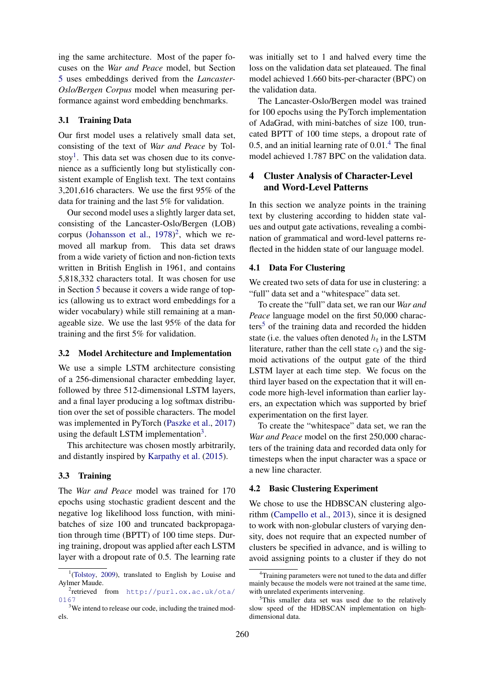ing the same architecture. Most of the paper focuses on the *War and Peace* model, but Section [5](#page-5-0) uses embeddings derived from the *Lancaster-Oslo/Bergen Corpus* model when measuring performance against word embedding benchmarks.

## 3.1 Training Data

Our first model uses a relatively small data set, consisting of the text of *War and Peace* by Tol-stoy<sup>[1](#page-2-1)</sup>. This data set was chosen due to its convenience as a sufficiently long but stylistically consistent example of English text. The text contains 3,201,616 characters. We use the first 95% of the data for training and the last 5% for validation.

Our second model uses a slightly larger data set, consisting of the Lancaster-Oslo/Bergen (LOB) corpus [\(Johansson et al.,](#page-7-11)  $1978$ )<sup>[2](#page-2-2)</sup>, which we removed all markup from. This data set draws from a wide variety of fiction and non-fiction texts written in British English in 1961, and contains 5,818,332 characters total. It was chosen for use in Section [5](#page-5-0) because it covers a wide range of topics (allowing us to extract word embeddings for a wider vocabulary) while still remaining at a manageable size. We use the last 95% of the data for training and the first 5% for validation.

### 3.2 Model Architecture and Implementation

We use a simple LSTM architecture consisting of a 256-dimensional character embedding layer, followed by three 512-dimensional LSTM layers, and a final layer producing a log softmax distribution over the set of possible characters. The model was implemented in PyTorch [\(Paszke et al.,](#page-8-7) [2017\)](#page-8-7) using the default LSTM implementation<sup>[3](#page-2-3)</sup>.

This architecture was chosen mostly arbitrarily, and distantly inspired by [Karpathy et al.](#page-7-8) [\(2015\)](#page-7-8).

#### 3.3 Training

The *War and Peace* model was trained for 170 epochs using stochastic gradient descent and the negative log likelihood loss function, with minibatches of size 100 and truncated backpropagation through time (BPTT) of 100 time steps. During training, dropout was applied after each LSTM layer with a dropout rate of 0.5. The learning rate

was initially set to 1 and halved every time the loss on the validation data set plateaued. The final model achieved 1.660 bits-per-character (BPC) on the validation data.

The Lancaster-Oslo/Bergen model was trained for 100 epochs using the PyTorch implementation of AdaGrad, with mini-batches of size 100, truncated BPTT of 100 time steps, a dropout rate of 0.5, and an initial learning rate of  $0.01<sup>4</sup>$  $0.01<sup>4</sup>$  $0.01<sup>4</sup>$ . The final model achieved 1.787 BPC on the validation data.

# <span id="page-2-0"></span>4 Cluster Analysis of Character-Level and Word-Level Patterns

In this section we analyze points in the training text by clustering according to hidden state values and output gate activations, revealing a combination of grammatical and word-level patterns reflected in the hidden state of our language model.

#### 4.1 Data For Clustering

We created two sets of data for use in clustering: a "full" data set and a "whitespace" data set.

To create the "full" data set, we ran our *War and Peace* language model on the first 50,000 charac- $ters<sup>5</sup>$  $ters<sup>5</sup>$  $ters<sup>5</sup>$  of the training data and recorded the hidden state (i.e. the values often denoted  $h_t$  in the LSTM literature, rather than the cell state  $c_t$ ) and the sigmoid activations of the output gate of the third LSTM layer at each time step. We focus on the third layer based on the expectation that it will encode more high-level information than earlier layers, an expectation which was supported by brief experimentation on the first layer.

To create the "whitespace" data set, we ran the *War and Peace* model on the first 250,000 characters of the training data and recorded data only for timesteps when the input character was a space or a new line character.

#### 4.2 Basic Clustering Experiment

We chose to use the HDBSCAN clustering algorithm [\(Campello et al.,](#page-7-3) [2013\)](#page-7-3), since it is designed to work with non-globular clusters of varying density, does not require that an expected number of clusters be specified in advance, and is willing to avoid assigning points to a cluster if they do not

<span id="page-2-1"></span><sup>&</sup>lt;sup>1</sup>[\(Tolstoy,](#page-8-8) [2009\)](#page-8-8), translated to English by Louise and Aylmer Maude.

<span id="page-2-2"></span><sup>2</sup> retrieved from [http://purl.ox.ac.uk/ota/](http://purl.ox.ac.uk/ota/0167) [0167](http://purl.ox.ac.uk/ota/0167)

<span id="page-2-3"></span><sup>&</sup>lt;sup>3</sup>We intend to release our code, including the trained models.

<span id="page-2-4"></span><sup>&</sup>lt;sup>4</sup>Training parameters were not tuned to the data and differ mainly because the models were not trained at the same time, with unrelated experiments intervening.

<span id="page-2-5"></span><sup>&</sup>lt;sup>5</sup>This smaller data set was used due to the relatively slow speed of the HDBSCAN implementation on highdimensional data.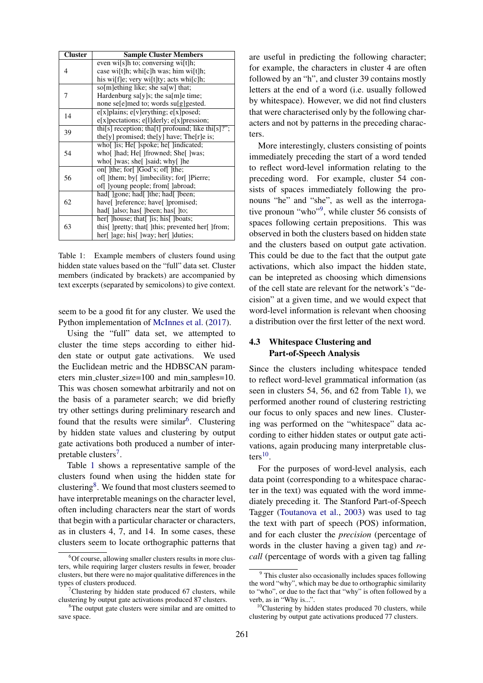| <b>Cluster</b> | <b>Sample Cluster Members</b>                     |  |  |  |  |
|----------------|---------------------------------------------------|--|--|--|--|
| 4              | even will slh to; conversing will tlh;            |  |  |  |  |
|                | case wi[t]h; whi[c]h was; him wi[t]h;             |  |  |  |  |
|                | his wi[f]e; very wi[t]ty; acts whi[c]h;           |  |  |  |  |
| 7              | so[m]ething like; she sa[w] that;                 |  |  |  |  |
|                | Hardenburg sa[y]s; the sa[m]e time;               |  |  |  |  |
|                | none selemed to; words sulgested.                 |  |  |  |  |
| 14             | $e[x]$ plains; $e[v]$ erything; $e[x]$ posed;     |  |  |  |  |
|                | e[x] pectations; e[l] derly; e[x] pression;       |  |  |  |  |
| 39             | thi[s] reception; tha[t] profound; like thi[s]?"; |  |  |  |  |
|                | the[y] promised; the[y] have; The[r]e is;         |  |  |  |  |
|                | who[]is; He[]spoke; he[]indicated;                |  |  |  |  |
| 54             | who[]had; He[]frowned; She[]was;                  |  |  |  |  |
|                | who [] was; she [] said; why [] ] he              |  |  |  |  |
|                | on [ ]   the; for [ ] God's; of [ ] the;          |  |  |  |  |
| 56             | of [] [them; by [] ] limbecility; for [] [Pierre; |  |  |  |  |
|                | of[]young people; from[]abroad;                   |  |  |  |  |
|                |                                                   |  |  |  |  |
| 62             | have[] reference; have[] promised;                |  |  |  |  |
|                | had[]also; has[]been; has[]to;                    |  |  |  |  |
|                |                                                   |  |  |  |  |
| 63             | this[ ]pretty; that[ ]this; prevented her[ ]from; |  |  |  |  |
|                | her[ ]age; his[ ]way; her[ ]duties;               |  |  |  |  |

<span id="page-3-2"></span>Table 1: Example members of clusters found using hidden state values based on the "full" data set. Cluster members (indicated by brackets) are accompanied by text excerpts (separated by semicolons) to give context.

seem to be a good fit for any cluster. We used the Python implementation of [McInnes et al.](#page-8-9) [\(2017\)](#page-8-9).

Using the "full" data set, we attempted to cluster the time steps according to either hidden state or output gate activations. We used the Euclidean metric and the HDBSCAN parameters min cluster size=100 and min samples=10. This was chosen somewhat arbitrarily and not on the basis of a parameter search; we did briefly try other settings during preliminary research and found that the results were similar<sup>[6](#page-3-0)</sup>. Clustering by hidden state values and clustering by output gate activations both produced a number of inter-pretable clusters<sup>[7](#page-3-1)</sup>.

Table [1](#page-3-2) shows a representative sample of the clusters found when using the hidden state for clustering<sup>[8](#page-3-3)</sup>. We found that most clusters seemed to have interpretable meanings on the character level, often including characters near the start of words that begin with a particular character or characters, as in clusters 4, 7, and 14. In some cases, these clusters seem to locate orthographic patterns that are useful in predicting the following character; for example, the characters in cluster 4 are often followed by an "h", and cluster 39 contains mostly letters at the end of a word (i.e. usually followed by whitespace). However, we did not find clusters that were characterised only by the following characters and not by patterns in the preceding characters.

More interestingly, clusters consisting of points immediately preceding the start of a word tended to reflect word-level information relating to the preceding word. For example, cluster 54 consists of spaces immediately following the pronouns "he" and "she", as well as the interrogative pronoun "who"[9](#page-3-4) , while cluster 56 consists of spaces following certain prepositions. This was observed in both the clusters based on hidden state and the clusters based on output gate activation. This could be due to the fact that the output gate activations, which also impact the hidden state, can be intepreted as choosing which dimensions of the cell state are relevant for the network's "decision" at a given time, and we would expect that word-level information is relevant when choosing a distribution over the first letter of the next word.

# <span id="page-3-6"></span>4.3 Whitespace Clustering and Part-of-Speech Analysis

Since the clusters including whitespace tended to reflect word-level grammatical information (as seen in clusters 54, 56, and 62 from Table [1\)](#page-3-2), we performed another round of clustering restricting our focus to only spaces and new lines. Clustering was performed on the "whitespace" data according to either hidden states or output gate activations, again producing many interpretable clus- $ters<sup>10</sup>$  $ters<sup>10</sup>$  $ters<sup>10</sup>$ .

For the purposes of word-level analysis, each data point (corresponding to a whitespace character in the text) was equated with the word immediately preceding it. The Stanford Part-of-Speech Tagger [\(Toutanova et al.,](#page-8-10) [2003\)](#page-8-10) was used to tag the text with part of speech (POS) information, and for each cluster the *precision* (percentage of words in the cluster having a given tag) and *recall* (percentage of words with a given tag falling

<span id="page-3-0"></span> $6$ Of course, allowing smaller clusters results in more clusters, while requiring larger clusters results in fewer, broader clusters, but there were no major qualitative differences in the types of clusters produced.

<span id="page-3-1"></span> $\degree$ Clustering by hidden state produced 67 clusters, while clustering by output gate activations produced 87 clusters.

<span id="page-3-3"></span><sup>&</sup>lt;sup>8</sup>The output gate clusters were similar and are omitted to save space.

<span id="page-3-4"></span><sup>&</sup>lt;sup>9</sup> This cluster also occasionally includes spaces following the word "why", which may be due to orthographic similarity to "who", or due to the fact that "why" is often followed by a verb, as in "Why is...".

<span id="page-3-5"></span> $10$ Clustering by hidden states produced 70 clusters, while clustering by output gate activations produced 77 clusters.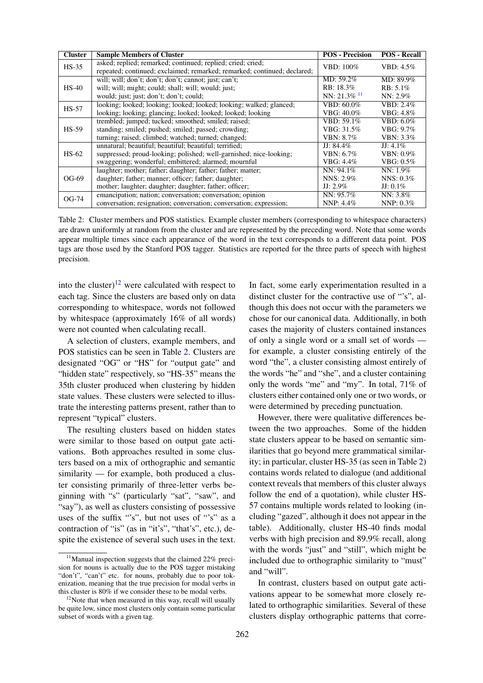| <b>Cluster</b> | <b>Sample Members of Cluster</b>                                                                                                        | <b>POS</b> - Precision     | <b>POS - Recall</b> |
|----------------|-----------------------------------------------------------------------------------------------------------------------------------------|----------------------------|---------------------|
| $HS-35$        | asked; replied; remarked; continued; replied; cried; cried;<br>repeated; continued; exclaimed; remarked; remarked; continued; declared; | VBD: 100%                  | VBD: 4.5%           |
| $HS-40$        | will; will; don't; don't; don't; cannot; just; can't;                                                                                   | MD: 59.2%                  | MD: 89.9%           |
|                | will; will; might; could; shall; will; would; just;                                                                                     | RB: 18.3%                  | $RB: 5.1\%$         |
|                | would; just; just; don't; don't; could;                                                                                                 | NN: $21.3\%$ <sup>11</sup> | $NN: 2.9\%$         |
| $HS-57$        | looking; looked; looking; looked; looked; looking; walked; glanced;                                                                     | VBD: 60.0%                 | VBD: 2.4%           |
|                | looking; looking; glancing; looked; looked; looked; looking                                                                             | VBG: 40.0%                 | VBG: 4.8%           |
| $HS-59$        | trembled; jumped; tucked; smoothed; smiled; raised;                                                                                     | VBD: 59.1%                 | VBD: 6.0%           |
|                | standing; smiled; pushed; smiled; passed; crowding;                                                                                     | VBG: 31.5%                 | VBG: 9.7%           |
|                | turning; raised; climbed; watched; turned; changed;                                                                                     | VBN: 8.7%                  | VBN: 3.3%           |
| $HS-62$        | unnatural; beautiful; beautiful; beautiful; terrified;                                                                                  | JJ: $84.4\%$               | $JJ: 4.1\%$         |
|                | suppressed; proud-looking; polished; well-garnished; nice-looking;                                                                      | VBN: 6.7%                  | VBN: 0.9%           |
|                | swaggering; wonderful; embittered; alarmed; mournful                                                                                    | VBG: 4.4%                  | VBG: $0.5\%$        |
| $OG-69$        | laughter; mother; father; daughter; father; father; matter;                                                                             | NN: 94.1%                  | $NN: 1.9\%$         |
|                | daughter; father; manner; officer; father; daughter;                                                                                    | NNS: 2.9%                  | NNS: $0.3\%$        |
|                | mother; laughter; daughter; daughter; father; officer;                                                                                  | $JJ: 2.9\%$                | $JJ: 0.1\%$         |
| OG-74          | emancipation; nation; conversation; conversation; opinion                                                                               | NN: 95.7%                  | $NN: 3.8\%$         |
|                | conversation; resignation; conversation; conversation; expression;                                                                      | NNP: 4.4%                  | NNP: $0.3\%$        |

<span id="page-4-2"></span>Table 2: Cluster members and POS statistics. Example cluster members (corresponding to whitespace characters) are drawn uniformly at random from the cluster and are represented by the preceding word. Note that some words appear multiple times since each appearance of the word in the text corresponds to a different data point. POS tags are those used by the Stanford POS tagger. Statistics are reported for the three parts of speech with highest precision.

into the cluster)<sup>[12](#page-4-1)</sup> were calculated with respect to each tag. Since the clusters are based only on data corresponding to whitespace, words not followed by whitespace (approximately 16% of all words) were not counted when calculating recall.

A selection of clusters, example members, and POS statistics can be seen in Table [2.](#page-4-2) Clusters are designated "OG" or "HS" for "output gate" and "hidden state" respectively, so "HS-35" means the 35th cluster produced when clustering by hidden state values. These clusters were selected to illustrate the interesting patterns present, rather than to represent "typical" clusters.

The resulting clusters based on hidden states were similar to those based on output gate activations. Both approaches resulted in some clusters based on a mix of orthographic and semantic similarity — for example, both produced a cluster consisting primarily of three-letter verbs beginning with "s" (particularly "sat", "saw", and "say"), as well as clusters consisting of possessive uses of the suffix "'s", but not uses of "'s" as a contraction of "is" (as in "it's", "that's", etc.), despite the existence of several such uses in the text. In fact, some early experimentation resulted in a distinct cluster for the contractive use of "'s", although this does not occur with the parameters we chose for our canonical data. Additionally, in both cases the majority of clusters contained instances of only a single word or a small set of words for example, a cluster consisting entirely of the word "the", a cluster consisting almost entirely of the words "he" and "she", and a cluster containing only the words "me" and "my". In total, 71% of clusters either contained only one or two words, or were determined by preceding punctuation.

However, there were qualitative differences between the two approaches. Some of the hidden state clusters appear to be based on semantic similarities that go beyond mere grammatical similarity; in particular, cluster HS-35 (as seen in Table [2\)](#page-4-2) contains words related to dialogue (and additional context reveals that members of this cluster always follow the end of a quotation), while cluster HS-57 contains multiple words related to looking (including "gazed", although it does not appear in the table). Additionally, cluster HS-40 finds modal verbs with high precision and 89.9% recall, along with the words "just" and "still", which might be included due to orthographic similarity to "must" and "will".

In contrast, clusters based on output gate activations appear to be somewhat more closely related to orthographic similarities. Several of these clusters display orthographic patterns that corre-

<span id="page-4-0"></span> $11$ Manual inspection suggests that the claimed 22% precision for nouns is actually due to the POS tagger mistaking "don't", "can't" etc. for nouns, probably due to poor tokenization, meaning that the true precision for modal verbs in this cluster is 80% if we consider these to be modal verbs.

<span id="page-4-1"></span> $12$ Note that when measured in this way, recall will usually be quite low, since most clusters only contain some particular subset of words with a given tag.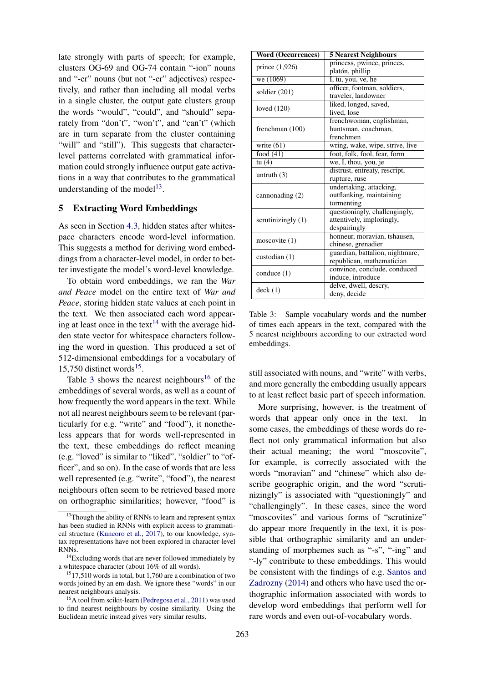late strongly with parts of speech; for example, clusters OG-69 and OG-74 contain "-ion" nouns and "-er" nouns (but not "-er" adjectives) respectively, and rather than including all modal verbs in a single cluster, the output gate clusters group the words "would", "could", and "should" separately from "don't", "won't", and "can't" (which are in turn separate from the cluster containing "will" and "still"). This suggests that characterlevel patterns correlated with grammatical information could strongly influence output gate activations in a way that contributes to the grammatical understanding of the model<sup>[13](#page-5-1)</sup>.

### <span id="page-5-0"></span>5 Extracting Word Embeddings

As seen in Section [4.3,](#page-3-6) hidden states after whitespace characters encode word-level information. This suggests a method for deriving word embeddings from a character-level model, in order to better investigate the model's word-level knowledge.

To obtain word embeddings, we ran the *War and Peace* model on the entire text of *War and Peace*, storing hidden state values at each point in the text. We then associated each word appear-ing at least once in the text<sup>[14](#page-5-2)</sup> with the average hidden state vector for whitespace characters following the word in question. This produced a set of 512-dimensional embeddings for a vocabulary of  $15,750$  $15,750$  distinct words<sup>15</sup>.

Table [3](#page-5-4) shows the nearest neighbours<sup>[16](#page-5-5)</sup> of the embeddings of several words, as well as a count of how frequently the word appears in the text. While not all nearest neighbours seem to be relevant (particularly for e.g. "write" and "food"), it nonetheless appears that for words well-represented in the text, these embeddings do reflect meaning (e.g. "loved" is similar to "liked", "soldier" to "officer", and so on). In the case of words that are less well represented (e.g. "write", "food"), the nearest neighbours often seem to be retrieved based more on orthographic similarities; however, "food" is

| <b>Word (Occurrences)</b> | <b>5 Nearest Neighbours</b>     |  |  |  |
|---------------------------|---------------------------------|--|--|--|
| prince $(1,926)$          | princess, pwince, princes,      |  |  |  |
|                           | platón, phillip                 |  |  |  |
| we $(1069)$               | I, tu, you, ve, he              |  |  |  |
| soldier (201)             | officer, footman, soldiers,     |  |  |  |
|                           | traveler, landowner             |  |  |  |
| loved $(120)$             | liked, longed, saved,           |  |  |  |
|                           | lived. lose                     |  |  |  |
|                           | frenchwoman, englishman,        |  |  |  |
| frenchman (100)           | huntsman, coachman,             |  |  |  |
|                           | frenchmen                       |  |  |  |
| write $(61)$              | wring, wake, wipe, strive, live |  |  |  |
| food $(41)$               | foot, folk, fool, fear, form    |  |  |  |
| tu $(4)$                  | we, I, thou, you, je            |  |  |  |
| untruth $(3)$             | distrust, entreaty, rescript,   |  |  |  |
|                           | rupture, ruse                   |  |  |  |
|                           | undertaking, attacking,         |  |  |  |
| cannonading $(2)$         | outflanking, maintaining        |  |  |  |
|                           | tormenting                      |  |  |  |
|                           | questioningly, challengingly,   |  |  |  |
| scrutinizingly (1)        | attentively, imploringly,       |  |  |  |
|                           | despairingly                    |  |  |  |
| moscovite(1)              | honneur, moravian, tshausen,    |  |  |  |
|                           | chinese, grenadier              |  |  |  |
| custodian $(1)$           | guardian, battalion, nightmare, |  |  |  |
|                           | republican, mathematician       |  |  |  |
| conduce $(1)$             | convince, conclude, conduced    |  |  |  |
|                           | induce, introduce               |  |  |  |
| deck(1)                   | delve, dwell, descry,           |  |  |  |
|                           | deny, decide                    |  |  |  |

<span id="page-5-4"></span>Table 3: Sample vocabulary words and the number of times each appears in the text, compared with the 5 nearest neighbours according to our extracted word embeddings.

still associated with nouns, and "write" with verbs, and more generally the embedding usually appears to at least reflect basic part of speech information.

More surprising, however, is the treatment of words that appear only once in the text. In some cases, the embeddings of these words do reflect not only grammatical information but also their actual meaning; the word "moscovite", for example, is correctly associated with the words "moravian" and "chinese" which also describe geographic origin, and the word "scrutinizingly" is associated with "questioningly" and "challengingly". In these cases, since the word "moscovites" and various forms of "scrutinize" do appear more frequently in the text, it is possible that orthographic similarity and an understanding of morphemes such as "-s", "-ing" and "-ly" contribute to these embeddings. This would be consistent with the findings of e.g. [Santos and](#page-8-5) [Zadrozny](#page-8-5) [\(2014\)](#page-8-5) and others who have used the orthographic information associated with words to develop word embeddings that perform well for rare words and even out-of-vocabulary words.

<span id="page-5-1"></span><sup>&</sup>lt;sup>13</sup>Though the ability of RNNs to learn and represent syntax has been studied in RNNs with explicit access to grammatical structure [\(Kuncoro et al.,](#page-7-12) [2017\)](#page-7-12), to our knowledge, syntax representations have not been explored in character-level RNNs.

<span id="page-5-2"></span> $14$ Excluding words that are never followed immediately by a whitespace character (about 16% of all words).

<span id="page-5-3"></span><sup>&</sup>lt;sup>15</sup>17,510 words in total, but 1,760 are a combination of two words joined by an em-dash. We ignore these "words" in our nearest neighbours analysis.

<span id="page-5-5"></span><sup>&</sup>lt;sup>16</sup>A tool from scikit-learn [\(Pedregosa et al.,](#page-8-11) [2011\)](#page-8-11) was used to find nearest neighbours by cosine similarity. Using the Euclidean metric instead gives very similar results.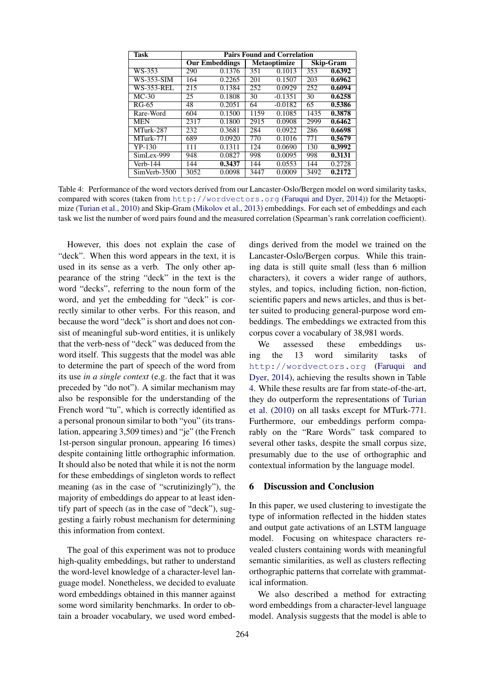| Task              | <b>Pairs Found and Correlation</b> |                       |                     |           |                  |        |  |  |
|-------------------|------------------------------------|-----------------------|---------------------|-----------|------------------|--------|--|--|
|                   |                                    | <b>Our Embeddings</b> | <b>Metaoptimize</b> |           | <b>Skip-Gram</b> |        |  |  |
| WS-353            | 290                                | 0.1376                | 351                 | 0.1013    | 353              | 0.6392 |  |  |
| <b>WS-353-SIM</b> | 164                                | 0.2265                | 201                 | 0.1507    | 203              | 0.6962 |  |  |
| WS-353-REL        | 215                                | 0.1384                | 252                 | 0.0929    | 252              | 0.6094 |  |  |
| $MC-30$           | 25                                 | 0.1808                | 30                  | $-0.1351$ | 30               | 0.6258 |  |  |
| RG-65             | 48                                 | 0.2051                | 64                  | $-0.0182$ | 65               | 0.5386 |  |  |
| Rare-Word         | 604                                | 0.1500                | 1159                | 0.1085    | 1435             | 0.3878 |  |  |
| <b>MEN</b>        | 2317                               | 0.1800                | 2915                | 0.0908    | 2999             | 0.6462 |  |  |
| MTurk-287         | 232                                | 0.3681                | 284                 | 0.0922    | 286              | 0.6698 |  |  |
| MTurk-771         | 689                                | 0.0920                | 770                 | 0.1016    | 771              | 0.5679 |  |  |
| YP-130            | 111                                | 0.1311                | 124                 | 0.0690    | 130              | 0.3992 |  |  |
| SimLex-999        | 948                                | 0.0827                | 998                 | 0.0095    | 998              | 0.3131 |  |  |
| <b>Verb-144</b>   | 144                                | 0.3437                | 144                 | 0.0553    | 144              | 0.2728 |  |  |
| SimVerb-3500      | 3052                               | 0.0098                | 3447                | 0.0009    | 3492             | 0.2172 |  |  |

<span id="page-6-0"></span>Table 4: Performance of the word vectors derived from our Lancaster-Oslo/Bergen model on word similarity tasks, compared with scores (taken from <http://wordvectors.org> [\(Faruqui and Dyer,](#page-7-13) [2014\)](#page-7-13)) for the Metaoptimize [\(Turian et al.,](#page-8-1) [2010\)](#page-8-1) and Skip-Gram [\(Mikolov et al.,](#page-8-12) [2013\)](#page-8-12) embeddings. For each set of embeddings and each task we list the number of word pairs found and the measured correlation (Spearman's rank correlation coefficient).

However, this does not explain the case of "deck". When this word appears in the text, it is used in its sense as a verb. The only other appearance of the string "deck" in the text is the word "decks", referring to the noun form of the word, and yet the embedding for "deck" is correctly similar to other verbs. For this reason, and because the word "deck" is short and does not consist of meaningful sub-word entities, it is unlikely that the verb-ness of "deck" was deduced from the word itself. This suggests that the model was able to determine the part of speech of the word from its use *in a single context* (e.g. the fact that it was preceded by "do not"). A similar mechanism may also be responsible for the understanding of the French word "tu", which is correctly identified as a personal pronoun similar to both "you" (its translation, appearing 3,509 times) and "je" (the French 1st-person singular pronoun, appearing 16 times) despite containing little orthographic information. It should also be noted that while it is not the norm for these embeddings of singleton words to reflect meaning (as in the case of "scrutinizingly"), the majority of embeddings do appear to at least identify part of speech (as in the case of "deck"), suggesting a fairly robust mechanism for determining this information from context.

The goal of this experiment was not to produce high-quality embeddings, but rather to understand the word-level knowledge of a character-level language model. Nonetheless, we decided to evaluate word embeddings obtained in this manner against some word similarity benchmarks. In order to obtain a broader vocabulary, we used word embed-

dings derived from the model we trained on the Lancaster-Oslo/Bergen corpus. While this training data is still quite small (less than 6 million characters), it covers a wider range of authors, styles, and topics, including fiction, non-fiction, scientific papers and news articles, and thus is better suited to producing general-purpose word embeddings. The embeddings we extracted from this corpus cover a vocabulary of 38,981 words.

We assessed these embeddings using the 13 word similarity tasks of <http://wordvectors.org> [\(Faruqui and](#page-7-13) [Dyer,](#page-7-13) [2014\)](#page-7-13), achieving the results shown in Table [4.](#page-6-0) While these results are far from state-of-the-art, they do outperform the representations of [Turian](#page-8-1) [et al.](#page-8-1) [\(2010\)](#page-8-1) on all tasks except for MTurk-771. Furthermore, our embeddings perform comparably on the "Rare Words" task compared to several other tasks, despite the small corpus size, presumably due to the use of orthographic and contextual information by the language model.

#### 6 Discussion and Conclusion

In this paper, we used clustering to investigate the type of information reflected in the hidden states and output gate activations of an LSTM language model. Focusing on whitespace characters revealed clusters containing words with meaningful semantic similarities, as well as clusters reflecting orthographic patterns that correlate with grammatical information.

We also described a method for extracting word embeddings from a character-level language model. Analysis suggests that the model is able to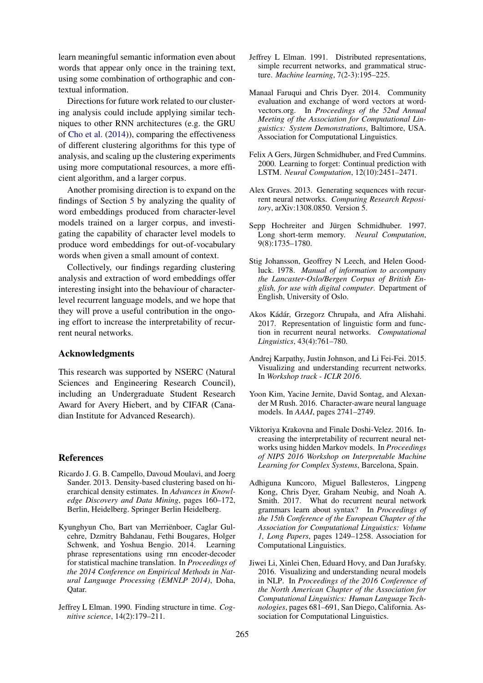learn meaningful semantic information even about words that appear only once in the training text, using some combination of orthographic and contextual information.

Directions for future work related to our clustering analysis could include applying similar techniques to other RNN architectures (e.g. the GRU of [Cho et al.](#page-7-14) [\(2014\)](#page-7-14)), comparing the effectiveness of different clustering algorithms for this type of analysis, and scaling up the clustering experiments using more computational resources, a more efficient algorithm, and a larger corpus.

Another promising direction is to expand on the findings of Section [5](#page-5-0) by analyzing the quality of word embeddings produced from character-level models trained on a larger corpus, and investigating the capability of character level models to produce word embeddings for out-of-vocabulary words when given a small amount of context.

Collectively, our findings regarding clustering analysis and extraction of word embeddings offer interesting insight into the behaviour of characterlevel recurrent language models, and we hope that they will prove a useful contribution in the ongoing effort to increase the interpretability of recurrent neural networks.

# Acknowledgments

This research was supported by NSERC (Natural Sciences and Engineering Research Council), including an Undergraduate Student Research Award for Avery Hiebert, and by CIFAR (Canadian Institute for Advanced Research).

#### **References**

- <span id="page-7-3"></span>Ricardo J. G. B. Campello, Davoud Moulavi, and Joerg Sander. 2013. Density-based clustering based on hierarchical density estimates. In *Advances in Knowledge Discovery and Data Mining*, pages 160–172, Berlin, Heidelberg. Springer Berlin Heidelberg.
- <span id="page-7-14"></span>Kyunghyun Cho, Bart van Merrienboer, Caglar Gul- ¨ cehre, Dzmitry Bahdanau, Fethi Bougares, Holger Schwenk, and Yoshua Bengio. 2014. Learning phrase representations using rnn encoder-decoder for statistical machine translation. In *Proceedings of the 2014 Conference on Empirical Methods in Natural Language Processing (EMNLP 2014)*, Doha, Qatar.
- <span id="page-7-4"></span>Jeffrey L Elman. 1990. Finding structure in time. *Cognitive science*, 14(2):179–211.
- <span id="page-7-6"></span>Jeffrey L Elman. 1991. Distributed representations, simple recurrent networks, and grammatical structure. *Machine learning*, 7(2-3):195–225.
- <span id="page-7-13"></span>Manaal Faruqui and Chris Dyer. 2014. Community evaluation and exchange of word vectors at wordvectors.org. In *Proceedings of the 52nd Annual Meeting of the Association for Computational Linguistics: System Demonstrations*, Baltimore, USA. Association for Computational Linguistics.
- <span id="page-7-1"></span>Felix A Gers, Jürgen Schmidhuber, and Fred Cummins. 2000. Learning to forget: Continual prediction with LSTM. *Neural Computation*, 12(10):2451–2471.
- <span id="page-7-2"></span>Alex Graves. 2013. Generating sequences with recurrent neural networks. *Computing Research Repository*, arXiv:1308.0850. Version 5.
- <span id="page-7-0"></span>Sepp Hochreiter and Jürgen Schmidhuber. 1997. Long short-term memory. *Neural Computation*, 9(8):1735–1780.
- <span id="page-7-11"></span>Stig Johansson, Geoffrey N Leech, and Helen Goodluck. 1978. *Manual of information to accompany the Lancaster-Oslo/Bergen Corpus of British English, for use with digital computer*. Department of English, University of Oslo.
- <span id="page-7-9"></span>Akos Kádár, Grzegorz Chrupała, and Afra Alishahi. 2017. Representation of linguistic form and function in recurrent neural networks. *Computational Linguistics*, 43(4):761–780.
- <span id="page-7-8"></span>Andrej Karpathy, Justin Johnson, and Li Fei-Fei. 2015. Visualizing and understanding recurrent networks. In *Workshop track - ICLR 2016*.
- <span id="page-7-10"></span>Yoon Kim, Yacine Jernite, David Sontag, and Alexander M Rush. 2016. Character-aware neural language models. In *AAAI*, pages 2741–2749.
- <span id="page-7-5"></span>Viktoriya Krakovna and Finale Doshi-Velez. 2016. Increasing the interpretability of recurrent neural networks using hidden Markov models. In *Proceedings of NIPS 2016 Workshop on Interpretable Machine Learning for Complex Systems*, Barcelona, Spain.
- <span id="page-7-12"></span>Adhiguna Kuncoro, Miguel Ballesteros, Lingpeng Kong, Chris Dyer, Graham Neubig, and Noah A. Smith. 2017. What do recurrent neural network grammars learn about syntax? In *Proceedings of the 15th Conference of the European Chapter of the Association for Computational Linguistics: Volume 1, Long Papers*, pages 1249–1258. Association for Computational Linguistics.
- <span id="page-7-7"></span>Jiwei Li, Xinlei Chen, Eduard Hovy, and Dan Jurafsky. 2016. Visualizing and understanding neural models in NLP. In *Proceedings of the 2016 Conference of the North American Chapter of the Association for Computational Linguistics: Human Language Technologies*, pages 681–691, San Diego, California. Association for Computational Linguistics.